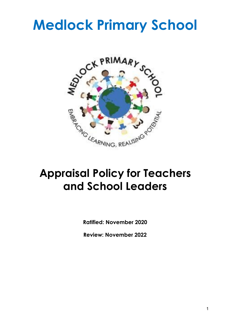# **Medlock Primary School**



## **Appraisal Policy for Teachers and School Leaders**

**Ratified: November 2020**

**Review: November 2022**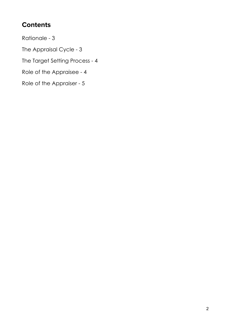### **Contents**

Rationale - 3

The Appraisal Cycle - 3

The Target Setting Process - 4

Role of the Appraisee - 4

Role of the Appraiser - 5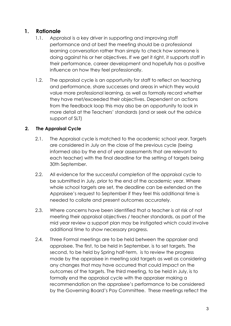#### **1. Rationale**

- 1.1. Appraisal is a key driver in supporting and improving staff performance and at best the meeting should be a professional learning conversation rather than simply to check how someone is doing against his or her objectives. If we get it right, it supports staff in their performance, career development and hopefully has a positive influence on how they feel professionally.
- 1.2. The appraisal cycle is an opportunity for staff to reflect on teaching and performance, share successes and areas in which they would value more professional learning, as well as formally record whether they have met/exceeded their objectives. Dependent on actions from the feedback loop this may also be an opportunity to look in more detail at the Teachers' standards (and or seek out the advice support of SLT)

#### **2. The Appraisal Cycle**

- 2.1. The Appraisal cycle is matched to the academic school year. Targets are considered in July on the close of the previous cycle (being informed also by the end of year assessments that are relevant to each teacher) with the final deadline for the setting of targets being 30th September.
- 2.2. All evidence for the successful completion of the appraisal cycle to be submitted in July, prior to the end of the academic year. Where whole school targets are set, the deadline can be extended on the Appraisee's request to September if they feel this additional time is needed to collate and present outcomes accurately.
- 2.3. Where concerns have been identified that a teacher is at risk of not meeting their appraisal objectives / teacher standards, as part of the mid year review a support plan may be instigated which could involve additional time to show necessary progress.
- 2.4. Three Formal meetings are to be held between the appraiser and appraisee. The first, to be held in September, is to set targets. The second, to be held by Spring half-term, is to review the progress made by the appraisee in meeting said targets as well as considering any changes that may have occurred that could impact on the outcomes of the targets. The third meeting, to be held in July, is to formally end the appraisal cycle with the appraiser making a recommendation on the appraisee's performance to be considered by the Governing Board's Pay Committee. These meetings reflect the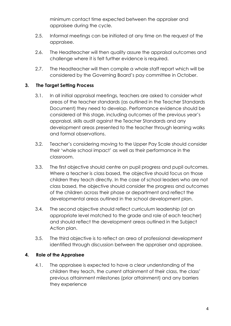minimum contact time expected between the appraiser and appraisee during the cycle.

- 2.5. Informal meetings can be initiated at any time on the request of the appraisee.
- 2.6. The Headteacher will then quality assure the appraisal outcomes and challenge where it is felt further evidence is required.
- 2.7. The Headteacher will then compile a whole staff report which will be considered by the Governing Board's pay committee in October.

#### **3. The Target Setting Process**

- 3.1. In all initial appraisal meetings, teachers are asked to consider what areas of the teacher standards (as outlined in the Teacher Standards Document) they need to develop. Performance evidence should be considered at this stage, including outcomes of the previous year's appraisal, skills audit against the Teacher Standards and any development areas presented to the teacher through learning walks and formal observations.
- 3.2. Teacher's considering moving to the Upper Pay Scale should consider their 'whole school impact' as well as their performance in the classroom.
- 3.3. The first objective should centre on pupil progress and pupil outcomes. Where a teacher is class based, the objective should focus on those children they teach directly. In the case of school leaders who are not class based, the objective should consider the progress and outcomes of the children across their phase or department and reflect the developmental areas outlined in the school development plan.
- 3.4. The second objective should reflect curriculum leadership (at an appropriate level matched to the grade and role of each teacher) and should reflect the development areas outlined in the Subject Action plan.
- 3.5. The third objective is to reflect an area of professional development identified through discussion between the appraiser and appraisee.

#### **4. Role of the Appraisee**

4.1. The appraisee is expected to have a clear understanding of the children they teach, the current attainment of their class, the class' previous attainment milestones (prior attainment) and any barriers they experience